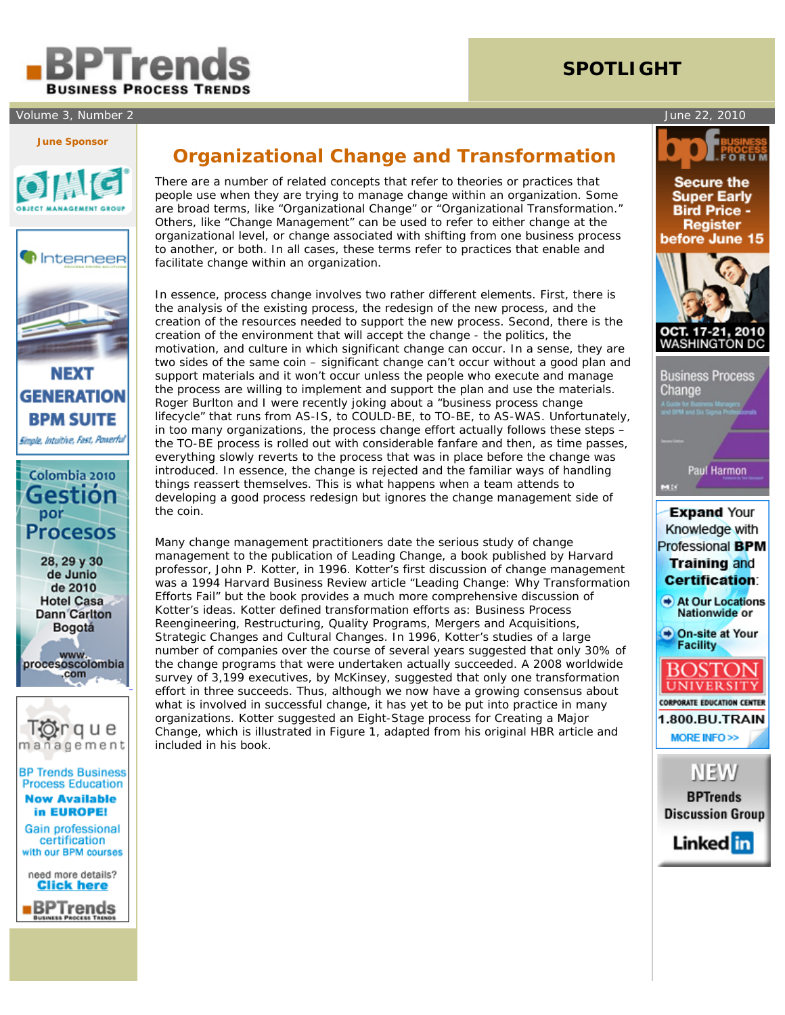

## Volume 3, Number 2 June 22, 2010

# **SPOTLIGHT**

#### **June Sponsor**













**Click here BPTrends** 

# **Organizational Change and Transformation**

 There are a number of related concepts that refer to theories or practices that people use when they are trying to manage change within an organization. Some are broad terms, like "Organizational Change" or "Organizational Transformation." Others, like "Change Management" can be used to refer to either change at the organizational level, or change associated with shifting from one business process to another, or both. In all cases, these terms refer to practices that enable and facilitate change within an organization.

In essence, process change involves two rather different elements. First, there is the analysis of the existing process, the redesign of the new process, and the creation of the resources needed to support the new process. Second, there is the creation of the environment that will accept the change - the politics, the motivation, and culture in which significant change can occur. In a sense, they are two sides of the same coin – significant change can't occur without a good plan and support materials and it won't occur unless the people who execute and manage the process are willing to implement and support the plan and use the materials. Roger Burlton and I were recently joking about a "business process change lifecycle" that runs from AS-IS, to COULD-BE, to TO-BE, to AS-WAS. Unfortunately, in too many organizations, the process change effort actually follows these steps – the TO-BE process is rolled out with considerable fanfare and then, as time passes, everything slowly reverts to the process that was in place before the change was introduced. In essence, the change is rejected and the familiar ways of handling things reassert themselves. This is what happens when a team attends to developing a good process redesign but ignores the change management side of the coin.

Many change management practitioners date the serious study of change management to the publication of *Leading Change*, a book published by Harvard professor, John P. Kotter, in 1996. Kotter's first discussion of change management was a 1994 *Harvard Business Review* article "Leading Change: Why Transformation Efforts Fail" but the book provides a much more comprehensive discussion of Kotter's ideas. Kotter defined transformation efforts as: Business Process Reengineering, Restructuring, Quality Programs, Mergers and Acquisitions, Strategic Changes and Cultural Changes. In 1996, Kotter's studies of a large number of companies over the course of several years suggested that only 30% of the change programs that were undertaken actually succeeded. A 2008 worldwide survey of 3,199 executives, by McKinsey, suggested that only one transformation effort in three succeeds. Thus, although we now have a growing consensus about what is involved in successful change, it has yet to be put into practice in many organizations. Kotter suggested an Eight-Stage process for Creating a Major Change, which is illustrated in Figure 1, adapted from his original HBR article and included in his book.

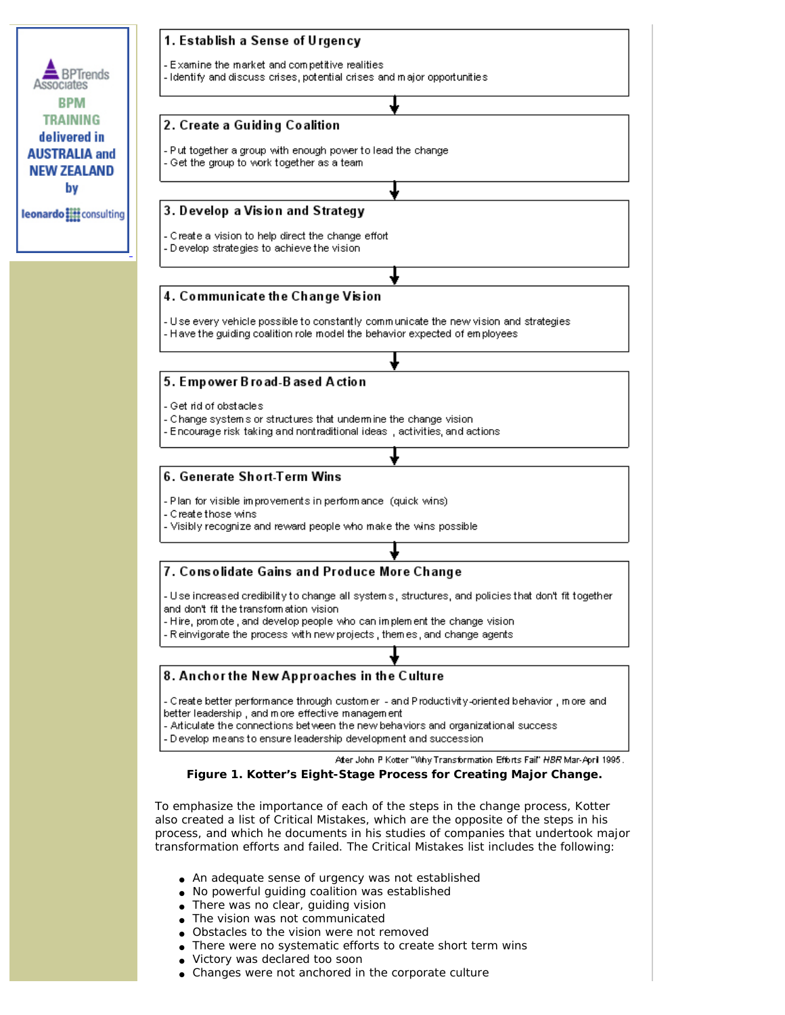

- No powerful guiding coalition was established
- There was no clear, guiding vision
- The vision was not communicated
- Obstacles to the vision were not removed
- There were no systematic efforts to create short term wins
- Victory was declared too soon
- Changes were not anchored in the corporate culture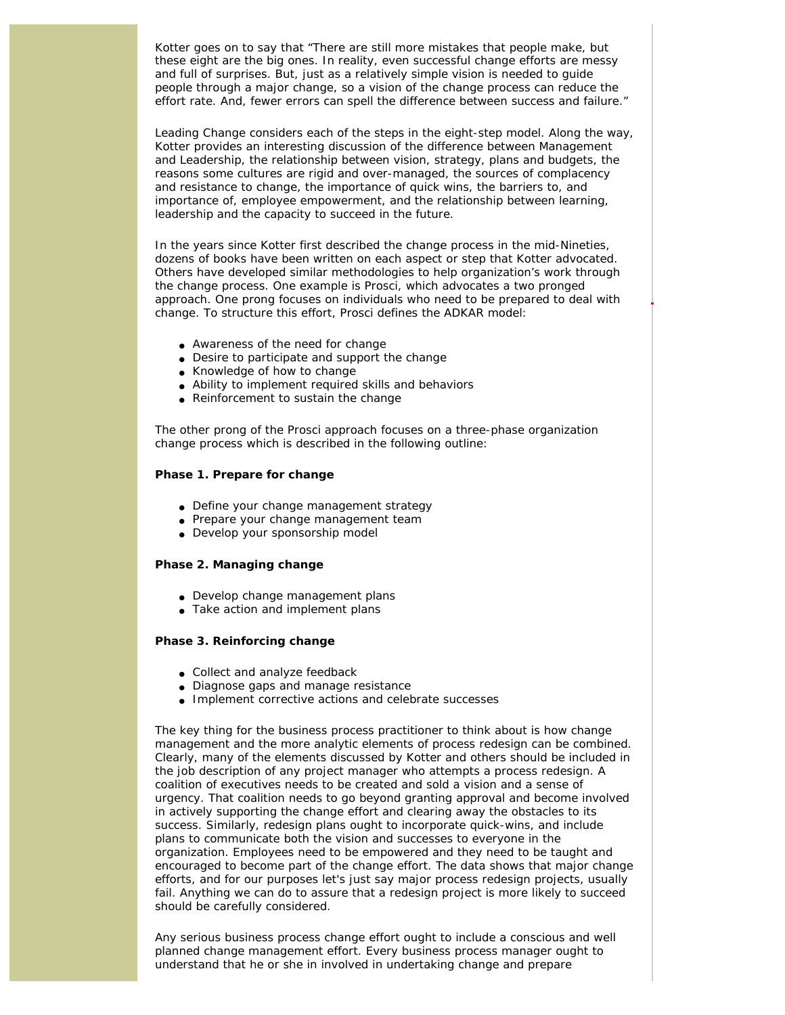Kotter goes on to say that "There are still more mistakes that people make, but these eight are the big ones. In reality, even successful change efforts are messy and full of surprises. But, just as a relatively simple vision is needed to guide people through a major change, so a vision of the change process can reduce the effort rate. And, fewer errors can spell the difference between success and failure."

*Leading Change* considers each of the steps in the eight-step model. Along the way, Kotter provides an interesting discussion of the difference between Management and Leadership, the relationship between vision, strategy, plans and budgets, the reasons some cultures are rigid and over-managed, the sources of complacency and resistance to change, the importance of quick wins, the barriers to, and importance of, employee empowerment, and the relationship between learning, leadership and the capacity to succeed in the future.

In the years since Kotter first described the change process in the mid-Nineties, dozens of books have been written on each aspect or step that Kotter advocated. Others have developed similar methodologies to help organization's work through the change process. One example is Prosci, which advocates a two pronged approach. One prong focuses on individuals who need to be prepared to deal with change. To structure this effort, Prosci defines the ADKAR model:

- Awareness of the need for change
- Desire to participate and support the change
- Knowledge of how to change
- Ability to implement required skills and behaviors
- Reinforcement to sustain the change

The other prong of the Prosci approach focuses on a three-phase organization change process which is described in the following outline:

### **Phase 1. Prepare for change**

- Define your change management strategy
- Prepare your change management team
- Develop your sponsorship model

## **Phase 2. Managing change**

- Develop change management plans
- Take action and implement plans

### **Phase 3. Reinforcing change**

- Collect and analyze feedback
- Diagnose gaps and manage resistance
- Implement corrective actions and celebrate successes

The key thing for the business process practitioner to think about is how change management and the more analytic elements of process redesign can be combined. Clearly, many of the elements discussed by Kotter and others should be included in the job description of any project manager who attempts a process redesign. A coalition of executives needs to be created and sold a vision and a sense of urgency. That coalition needs to go beyond granting approval and become involved in actively supporting the change effort and clearing away the obstacles to its success. Similarly, redesign plans ought to incorporate quick-wins, and include plans to communicate both the vision and successes to everyone in the organization. Employees need to be empowered and they need to be taught and encouraged to become part of the change effort. The data shows that major change efforts, and for our purposes let's just say major process redesign projects, usually fail. Anything we can do to assure that a redesign project is more likely to succeed should be carefully considered.

Any serious business process change effort ought to include a conscious and well planned change management effort. Every business process manager ought to understand that he or she in involved in undertaking change and prepare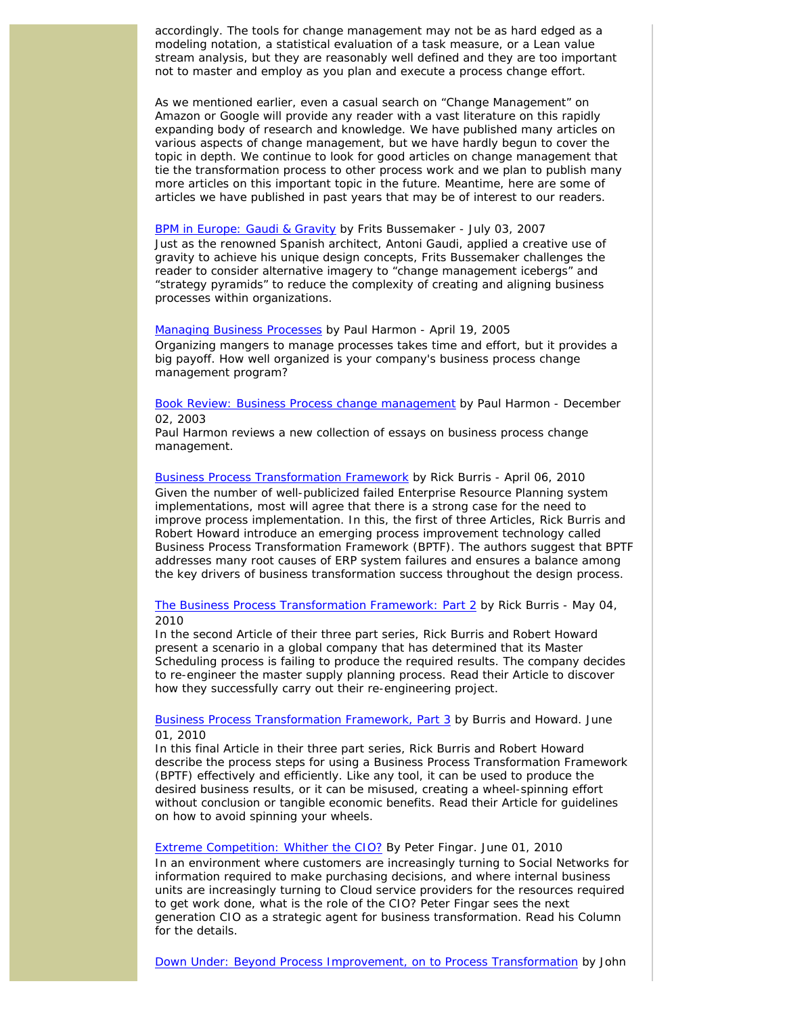accordingly. The tools for change management may not be as hard edged as a modeling notation, a statistical evaluation of a task measure, or a Lean value stream analysis, but they are reasonably well defined and they are too important not to master and employ as you plan and execute a process change effort.

As we mentioned earlier, even a casual search on "Change Management" on Amazon or Google will provide any reader with a vast literature on this rapidly expanding body of research and knowledge. We have published many articles on various aspects of change management, but we have hardly begun to cover the topic in depth. We continue to look for good articles on change management that tie the transformation process to other process work and we plan to publish many more articles on this important topic in the future. Meantime, here are some of articles we have published in past years that may be of interest to our readers.

#### [BPM in Europe: Gaudi & Gravity](http://www.bptrends.com/deliver_file.cfm?fileType=publication&fileName=07%2D07%2DCOL%2DGaudi%20and%20Gravity%2DBussemaker%2DFinal%2Epdf) by Frits Bussemaker - July 03, 2007

Just as the renowned Spanish architect, Antoni Gaudi, applied a creative use of gravity to achieve his unique design concepts, Frits Bussemaker challenges the reader to consider alternative imagery to "change management icebergs" and "strategy pyramids" to reduce the complexity of creating and aligning business processes within organizations.

[Managing Business Processes](http://www.bptrends.com/deliver_file.cfm?fileType=publication&fileName=bptadvisor2005Apr19%2Epdf) by Paul Harmon - April 19, 2005 Organizing mangers to manage processes takes time and effort, but it provides a big payoff. How well organized is your company's business process change management program?

[Book Review: Business Process change management](http://www.bptrends.com/deliver_file.cfm?fileType=publication&fileName=12%2D03%20BR%20%20BPCM%20%2D%20ARIS%20Scheer%20et%20al1%2Epdf) by Paul Harmon - December 02, 2003

Paul Harmon reviews a new collection of essays on business process change management.

[Business Process Transformation Framework](http://www.bptrends.com/deliver_file.cfm?fileType=publication&fileName=FIVE%2004%2D10%2DART%2DBusinessProcessTransformationFramework%2DBurrisHoward%5F0410%2Dfinal%2Epdf) by Rick Burris - April 06, 2010 Given the number of well-publicized failed Enterprise Resource Planning system implementations, most will agree that there is a strong case for the need to improve process implementation. In this, the first of three Articles, Rick Burris and Robert Howard introduce an emerging process improvement technology called Business Process Transformation Framework (BPTF). The authors suggest that BPTF addresses many root causes of ERP system failures and ensures a balance among the key drivers of business transformation success throughout the design process.

[The Business Process Transformation Framework: Part 2](http://www.bptrends.com/deliver_file.cfm?fileType=publication&fileName=05%2D10%2DART%2DBPTFramework%2DPart2%2DBurris%26Howard%2Edoc1%2Epdf) by Rick Burris - May 04, 2010

In the second Article of their three part series, Rick Burris and Robert Howard present a scenario in a global company that has determined that its Master Scheduling process is failing to produce the required results. The company decides to re-engineer the master supply planning process. Read their Article to discover how they successfully carry out their re-engineering project.

## [Business Process Transformation Framework, Part 3](http://www.bptrends.com/deliver_file.cfm?fileType=publication&fileName=05%2D10%2DBusinessProccessFramework%2CPart111%2DBurris%20and%20Howard%2Dfinal%2Epdf) by Burris and Howard. June 01, 2010

In this final Article in their three part series, Rick Burris and Robert Howard describe the process steps for using a Business Process Transformation Framework (BPTF) effectively and efficiently. Like any tool, it can be used to produce the desired business results, or it can be misused, creating a wheel-spinning effort without conclusion or tangible economic benefits. Read their Article for guidelines on how to avoid spinning your wheels.

#### [Extreme Competition: Whither the CIO?](http://www.bptrends.com/deliver_file.cfm?fileType=publication&fileName=06%2D10%2DCOL%2DExtreme%20Competition%2DWhither%20the%20CIO%2DFingar2%2Epdf) By Peter Fingar. June 01, 2010

In an environment where customers are increasingly turning to Social Networks for information required to make purchasing decisions, and where internal business units are increasingly turning to Cloud service providers for the resources required to get work done, what is the role of the CIO? Peter Fingar sees the next generation CIO as a strategic agent for business transformation. Read his Column for the details.

[Down Under: Beyond Process Improvement, on to Process Transformation](http://www.bptrends.com/deliver_file.cfm?fileType=publication&fileName=06%2D09%2DCOL%2DDown%20Under%20PI%20to%20Transformation%2DJeston%2DNelis%2Epdf) by John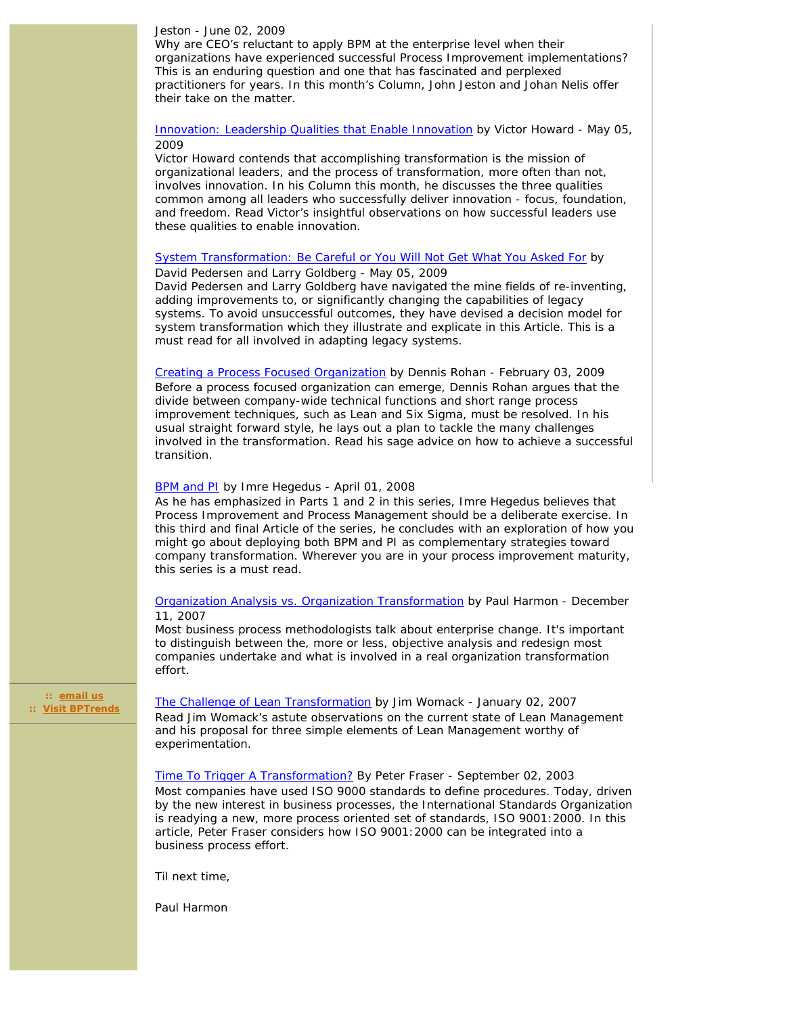#### Jeston - June 02, 2009

Why are CEO's reluctant to apply BPM at the enterprise level when their organizations have experienced successful Process Improvement implementations? This is an enduring question and one that has fascinated and perplexed practitioners for years. In this month's Column, John Jeston and Johan Nelis offer their take on the matter.

# [Innovation: Leadership Qualities that Enable Innovation](http://www.bptrends.com/deliver_file.cfm?fileType=publication&fileName=05%2D09%2DCOL%2DInnovation%2DLeadership%2DQualities%2DHoward%5B2%5D%2Dfinal%2Epdf) by Victor Howard - May 05, 2009

Victor Howard contends that accomplishing transformation is the mission of organizational leaders, and the process of transformation, more often than not, involves innovation. In his Column this month, he discusses the three qualities common among all leaders who successfully deliver innovation - focus, foundation, and freedom. Read Victor's insightful observations on how successful leaders use these qualities to enable innovation.

# [System Transformation: Be Careful or You Will Not Get What You Asked For](http://www.bptrends.com/deliver_file.cfm?fileType=publication&fileName=THREE%5F05%2D09%2DART%2DSystem%5FTransformation%2DPedersen%2DGoldberg%2D%20final%2Epdf) by David Pedersen and Larry Goldberg - May 05, 2009

David Pedersen and Larry Goldberg have navigated the mine fields of re-inventing, adding improvements to, or significantly changing the capabilities of legacy systems. To avoid unsuccessful outcomes, they have devised a decision model for system transformation which they illustrate and explicate in this Article. This is a must read for all involved in adapting legacy systems.

[Creating a Process Focused Organization](http://www.bptrends.com/deliver_file.cfm?fileType=publication&fileName=02%2D09%2DART%2DCreatingProcess%2DfocusedOrg%2DRohan%2Edoc%2Dfinal%2Epdf) by Dennis Rohan - February 03, 2009 Before a process focused organization can emerge, Dennis Rohan argues that the divide between company-wide technical functions and short range process improvement techniques, such as Lean and Six Sigma, must be resolved. In his usual straight forward style, he lays out a plan to tackle the many challenges involved in the transformation. Read his sage advice on how to achieve a successful transition.

### [BPM and PI](http://www.bptrends.com/deliver_file.cfm?fileType=publication&fileName=04%2D08%2DART%2DBPMandPI%2D%2DPart%203%2DHegedus%2Dfinal%2Edoc%2Epdf) by Imre Hegedus - April 01, 2008

As he has emphasized in Parts 1 and 2 in this series, Imre Hegedus believes that Process Improvement and Process Management should be a deliberate exercise. In this third and final Article of the series, he concludes with an exploration of how you might go about deploying both BPM and PI as complementary strategies toward company transformation. Wherever you are in your process improvement maturity, this series is a must read.

# [Organization Analysis vs. Organization Transformation](http://www.bptrends.com/deliver_file.cfm?fileType=publication&fileName=advisor20071211%2Epdf) by Paul Harmon - December 11, 2007

Most business process methodologists talk about enterprise change. It's important to distinguish between the, more or less, objective analysis and redesign most companies undertake and what is involved in a real organization transformation effort.

 **:: [email us](mailto:cwolf@bptrends.com) :: [Visit BPTrends](http://www.bptrends.com/)**

[The Challenge of Lean Transformation](http://www.bptrends.com/deliver_file.cfm?fileType=publication&fileName=01%2D07%2DART%2DTheChallengeofLeanManagement%2DWomack%2Dfinal%2Epdf) by Jim Womack - January 02, 2007 Read Jim Womack's astute observations on the current state of Lean Management and his proposal for three simple elements of Lean Management worthy of experimentation.

[Time To Trigger A Transformation?](http://www.bptrends.com/deliver_file.cfm?fileType=publication&fileName=09%2D03%20ART%20Time%20to%20Trigger%20Transf%20%2D%20Fraser%2Epdf) By Peter Fraser - September 02, 2003 Most companies have used ISO 9000 standards to define procedures. Today, driven by the new interest in business processes, the International Standards Organization is readying a new, more process oriented set of standards, ISO 9001:2000. In this article, Peter Fraser considers how ISO 9001:2000 can be integrated into a business process effort.

Til next time,

Paul Harmon